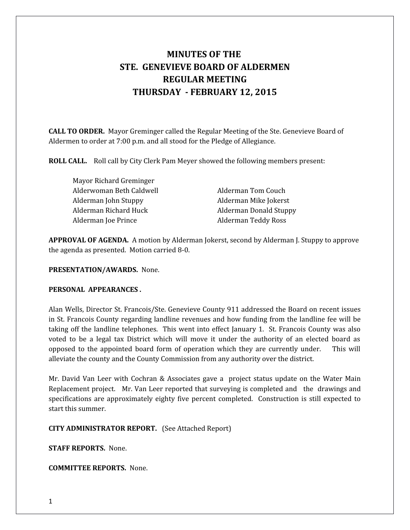# **MINUTES OF THE STE. GENEVIEVE BOARD OF ALDERMEN REGULAR MEETING THURSDAY - FEBRUARY 12, 2015**

**CALL TO ORDER.** Mayor Greminger called the Regular Meeting of the Ste. Genevieve Board of Aldermen to order at 7:00 p.m. and all stood for the Pledge of Allegiance.

**ROLL CALL.** Roll call by City Clerk Pam Meyer showed the following members present:

Mayor Richard Greminger Alderwoman Beth Caldwell **Alderman Tom Couch** Alderman John Stuppy **Alderman Mike Jokerst** Alderman Richard Huck Alderman Donald Stuppy Alderman Joe Prince **Alderman Teddy Ross** 

**APPROVAL OF AGENDA.** A motion by Alderman Jokerst, second by Alderman J. Stuppy to approve the agenda as presented. Motion carried 8-0.

#### **PRESENTATION/AWARDS.** None.

#### **PERSONAL APPEARANCES .**

Alan Wells, Director St. Francois/Ste. Genevieve County 911 addressed the Board on recent issues in St. Francois County regarding landline revenues and how funding from the landline fee will be taking off the landline telephones. This went into effect January 1. St. Francois County was also voted to be a legal tax District which will move it under the authority of an elected board as opposed to the appointed board form of operation which they are currently under. This will alleviate the county and the County Commission from any authority over the district.

Mr. David Van Leer with Cochran & Associates gave a project status update on the Water Main Replacement project.Mr. Van Leer reported that surveying is completed and the drawings and specifications are approximately eighty five percent completed. Construction is still expected to start this summer.

**CITY ADMINISTRATOR REPORT.** (See Attached Report)

**STAFF REPORTS.** None.

**COMMITTEE REPORTS.** None.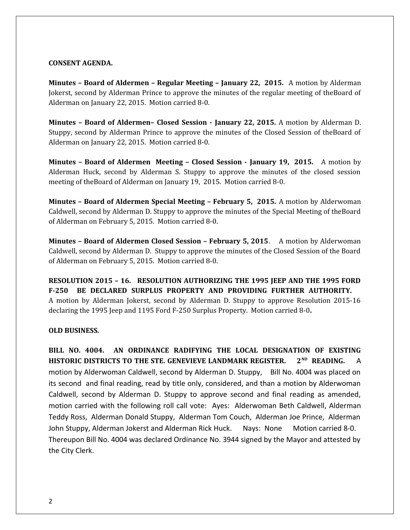#### **CONSENT AGENDA.**

**Minutes – Board of Aldermen – Regular Meeting – January 22, 2015.** A motion by Alderman Jokerst, second by Alderman Prince to approve the minutes of the regular meeting of theBoard of Alderman on January 22, 2015. Motion carried 8-0.

**Minutes – Board of Aldermen– Closed Session - January 22, 2015.** A motion by Alderman D. Stuppy, second by Alderman Prince to approve the minutes of the Closed Session of theBoard of Alderman on January 22, 2015. Motion carried 8-0.

**Minutes – Board of Aldermen Meeting – Closed Session - January 19, 2015.** A motion by Alderman Huck, second by Alderman S. Stuppy to approve the minutes of the closed session meeting of theBoard of Alderman on January 19, 2015. Motion carried 8-0.

**Minutes – Board of Aldermen Special Meeting – February 5, 2015.** A motion by Alderwoman Caldwell, second by Alderman D. Stuppy to approve the minutes of the Special Meeting of theBoard of Alderman on February 5, 2015. Motion carried 8-0.

**Minutes – Board of Aldermen Closed Session – February 5, 2015**. A motion by Alderwoman Caldwell, second by Alderman D. Stuppy to approve the minutes of the Closed Session of the Board of Alderman on February 5, 2015. Motion carried 8-0.

**RESOLUTION 2015 – 16. RESOLUTION AUTHORIZING THE 1995 JEEP AND THE 1995 FORD F-250 BE DECLARED SURPLUS PROPERTY AND PROVIDING FURTHER AUTHORITY.**  A motion by Alderman Jokerst, second by Alderman D. Stuppy to approve Resolution 2015-16 declaring the 1995 Jeep and 1195 Ford F-250 Surplus Property. Motion carried 8-0**.** 

#### **OLD BUSINESS.**

**BILL NO. 4004. AN ORDINANCE RADIFYING THE LOCAL DESIGNATION OF EXISTING HISTORIC DISTRICTS TO THE STE. GENEVIEVE LANDMARK REGISTER. 2ND READING.** A motion by Alderwoman Caldwell, second by Alderman D. Stuppy, Bill No. 4004 was placed on its second and final reading, read by title only, considered, and than a motion by Alderwoman Caldwell, second by Alderman D. Stuppy to approve second and final reading as amended, motion carried with the following roll call vote: Ayes: Alderwoman Beth Caldwell, Alderman Teddy Ross, Alderman Donald Stuppy, Alderman Tom Couch, Alderman Joe Prince, Alderman John Stuppy, Alderman Jokerst and Alderman Rick Huck. Nays: None Motion carried 8-0. Thereupon Bill No. 4004 was declared Ordinance No. 3944 signed by the Mayor and attested by the City Clerk.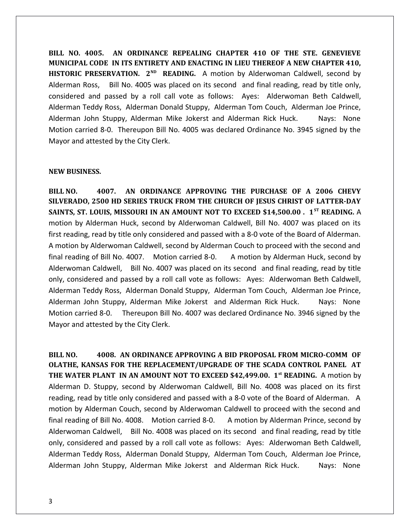**BILL NO. 4005. AN ORDINANCE REPEALING CHAPTER 410 OF THE STE. GENEVIEVE MUNICIPAL CODE IN ITS ENTIRETY AND ENACTING IN LIEU THEREOF A NEW CHAPTER 410,** HISTORIC PRESERVATION. 2<sup>ND</sup> READING. A motion by Alderwoman Caldwell, second by Alderman Ross, Bill No. 4005 was placed on its second and final reading, read by title only, considered and passed by a roll call vote as follows: Ayes: Alderwoman Beth Caldwell, Alderman Teddy Ross, Alderman Donald Stuppy, Alderman Tom Couch, Alderman Joe Prince, Alderman John Stuppy, Alderman Mike Jokerst and Alderman Rick Huck. Nays: None Motion carried 8-0. Thereupon Bill No. 4005 was declared Ordinance No. 3945 signed by the Mayor and attested by the City Clerk.

#### **NEW BUSINESS.**

**BILL NO. 4007. AN ORDINANCE APPROVING THE PURCHASE OF A 2006 CHEVY SILVERADO, 2500 HD SERIES TRUCK FROM THE CHURCH OF JESUS CHRIST OF LATTER-DAY SAINTS, ST. LOUIS, MISSOURI IN AN AMOUNT NOT TO EXCEED \$14,500.00 . 1ST READING.** A motion by Alderman Huck, second by Alderwoman Caldwell, Bill No. 4007 was placed on its first reading, read by title only considered and passed with a 8-0 vote of the Board of Alderman. A motion by Alderwoman Caldwell, second by Alderman Couch to proceed with the second and final reading of Bill No. 4007. Motion carried 8-0. A motion by Alderman Huck, second by Alderwoman Caldwell, Bill No. 4007 was placed on its second and final reading, read by title only, considered and passed by a roll call vote as follows: Ayes: Alderwoman Beth Caldwell, Alderman Teddy Ross, Alderman Donald Stuppy, Alderman Tom Couch, Alderman Joe Prince, Alderman John Stuppy, Alderman Mike Jokerst and Alderman Rick Huck. Nays: None Motion carried 8-0. Thereupon Bill No. 4007 was declared Ordinance No. 3946 signed by the Mayor and attested by the City Clerk.

**BILL NO. 4008. AN ORDINANCE APPROVING A BID PROPOSAL FROM MICRO-COMM OF OLATHE, KANSAS FOR THE REPLACEMENT/UPGRADE OF THE SCADA CONTROL PANEL AT THE WATER PLANT IN AN AMOUNT NOT TO EXCEED \$42,499.00. 1st READING.** A motion by Alderman D. Stuppy, second by Alderwoman Caldwell, Bill No. 4008 was placed on its first reading, read by title only considered and passed with a 8-0 vote of the Board of Alderman. A motion by Alderman Couch, second by Alderwoman Caldwell to proceed with the second and final reading of Bill No. 4008. Motion carried 8-0. A motion by Alderman Prince, second by Alderwoman Caldwell, Bill No. 4008 was placed on its second and final reading, read by title only, considered and passed by a roll call vote as follows: Ayes: Alderwoman Beth Caldwell, Alderman Teddy Ross, Alderman Donald Stuppy, Alderman Tom Couch, Alderman Joe Prince, Alderman John Stuppy, Alderman Mike Jokerst and Alderman Rick Huck. Nays: None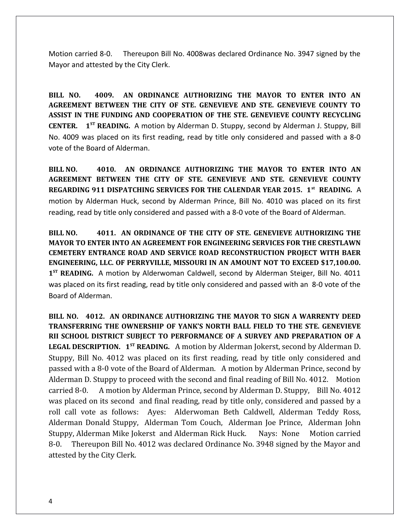Motion carried 8-0. Thereupon Bill No. 4008was declared Ordinance No. 3947 signed by the Mayor and attested by the City Clerk.

**BILL NO. 4009. AN ORDINANCE AUTHORIZING THE MAYOR TO ENTER INTO AN AGREEMENT BETWEEN THE CITY OF STE. GENEVIEVE AND STE. GENEVIEVE COUNTY TO ASSIST IN THE FUNDING AND COOPERATION OF THE STE. GENEVIEVE COUNTY RECYCLING CENTER. 1ST READING.** A motion by Alderman D. Stuppy, second by Alderman J. Stuppy, Bill No. 4009 was placed on its first reading, read by title only considered and passed with a 8-0 vote of the Board of Alderman.

**BILL NO. 4010. AN ORDINANCE AUTHORIZING THE MAYOR TO ENTER INTO AN AGREEMENT BETWEEN THE CITY OF STE. GENEVIEVE AND STE. GENEVIEVE COUNTY REGARDING 911 DISPATCHING SERVICES FOR THE CALENDAR YEAR 2015. 1st READING.** A motion by Alderman Huck, second by Alderman Prince, Bill No. 4010 was placed on its first reading, read by title only considered and passed with a 8-0 vote of the Board of Alderman.

**BILL NO. 4011. AN ORDINANCE OF THE CITY OF STE. GENEVIEVE AUTHORIZING THE MAYOR TO ENTER INTO AN AGREEMENT FOR ENGINEERING SERVICES FOR THE CRESTLAWN CEMETERY ENTRANCE ROAD AND SERVICE ROAD RECONSTRUCTION PROJECT WITH BAER ENGINEERING, LLC. OF PERRYVILLE, MISSOURI IN AN AMOUNT NOT TO EXCEED \$17,100.00. 1 ST READING.** A motion by Alderwoman Caldwell, second by Alderman Steiger, Bill No. 4011 was placed on its first reading, read by title only considered and passed with an 8-0 vote of the Board of Alderman.

**BILL NO. 4012. AN ORDINANCE AUTHORIZING THE MAYOR TO SIGN A WARRENTY DEED TRANSFERRING THE OWNERSHIP OF YANK'S NORTH BALL FIELD TO THE STE. GENEVIEVE RII SCHOOL DISTRICT SUBJECT TO PERFORMANCE OF A SURVEY AND PREPARATION OF A LEGAL DESCRIPTION. 1ST READING.** A motion by Alderman Jokerst, second by Alderman D. Stuppy, Bill No. 4012 was placed on its first reading, read by title only considered and passed with a 8-0 vote of the Board of Alderman. A motion by Alderman Prince, second by Alderman D. Stuppy to proceed with the second and final reading of Bill No. 4012. Motion carried 8-0. A motion by Alderman Prince, second by Alderman D. Stuppy, Bill No. 4012 was placed on its second and final reading, read by title only, considered and passed by a roll call vote as follows: Ayes: Alderwoman Beth Caldwell, Alderman Teddy Ross, Alderman Donald Stuppy, Alderman Tom Couch, Alderman Joe Prince, Alderman John Stuppy, Alderman Mike Jokerst and Alderman Rick Huck. Nays: None Motion carried 8-0. Thereupon Bill No. 4012 was declared Ordinance No. 3948 signed by the Mayor and attested by the City Clerk.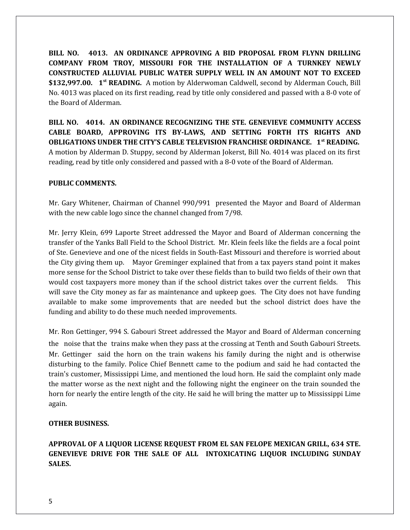**BILL NO. 4013. AN ORDINANCE APPROVING A BID PROPOSAL FROM FLYNN DRILLING COMPANY FROM TROY, MISSOURI FOR THE INSTALLATION OF A TURNKEY NEWLY CONSTRUCTED ALLUVIAL PUBLIC WATER SUPPLY WELL IN AN AMOUNT NOT TO EXCEED \$132,997.00. 1st READING.** A motion by Alderwoman Caldwell, second by Alderman Couch, Bill No. 4013 was placed on its first reading, read by title only considered and passed with a 8-0 vote of the Board of Alderman.

**BILL NO. 4014. AN ORDINANCE RECOGNIZING THE STE. GENEVIEVE COMMUNITY ACCESS CABLE BOARD, APPROVING ITS BY-LAWS, AND SETTING FORTH ITS RIGHTS AND OBLIGATIONS UNDER THE CITY'S CABLE TELEVISION FRANCHISE ORDINANCE. 1st READING.** A motion by Alderman D. Stuppy, second by Alderman Jokerst, Bill No. 4014 was placed on its first reading, read by title only considered and passed with a 8-0 vote of the Board of Alderman.

#### **PUBLIC COMMENTS.**

Mr. Gary Whitener, Chairman of Channel 990/991 presented the Mayor and Board of Alderman with the new cable logo since the channel changed from 7/98.

Mr. Jerry Klein, 699 Laporte Street addressed the Mayor and Board of Alderman concerning the transfer of the Yanks Ball Field to the School District. Mr. Klein feels like the fields are a focal point of Ste. Genevieve and one of the nicest fields in South-East Missouri and therefore is worried about the City giving them up. Mayor Greminger explained that from a tax payers stand point it makes more sense for the School District to take over these fields than to build two fields of their own that would cost taxpayers more money than if the school district takes over the current fields. This will save the City money as far as maintenance and upkeep goes. The City does not have funding available to make some improvements that are needed but the school district does have the funding and ability to do these much needed improvements.

Mr. Ron Gettinger, 994 S. Gabouri Street addressed the Mayor and Board of Alderman concerning the noise that the trains make when they pass at the crossing at Tenth and South Gabouri Streets. Mr. Gettinger said the horn on the train wakens his family during the night and is otherwise disturbing to the family. Police Chief Bennett came to the podium and said he had contacted the train's customer, Mississippi Lime, and mentioned the loud horn. He said the complaint only made the matter worse as the next night and the following night the engineer on the train sounded the horn for nearly the entire length of the city. He said he will bring the matter up to Mississippi Lime again.

## **OTHER BUSINESS.**

**APPROVAL OF A LIQUOR LICENSE REQUEST FROM EL SAN FELOPE MEXICAN GRILL, 634 STE. GENEVIEVE DRIVE FOR THE SALE OF ALL INTOXICATING LIQUOR INCLUDING SUNDAY SALES.**